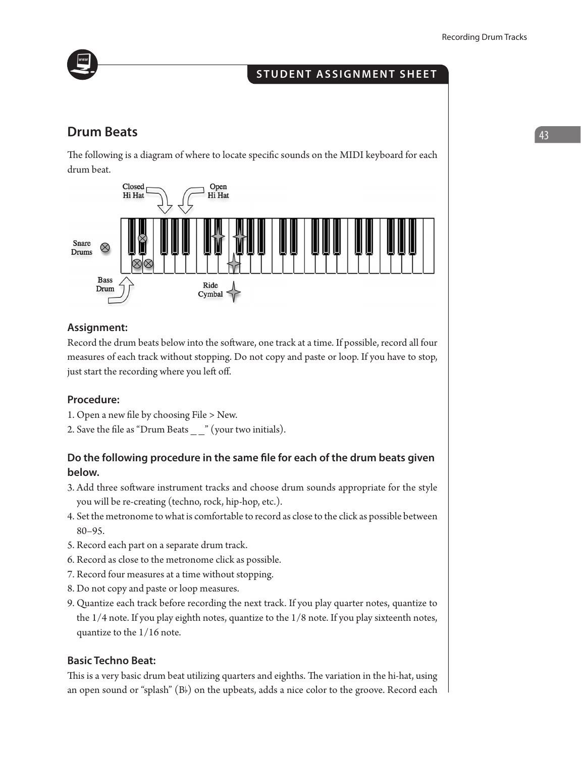

# **student assignment sheet**

# **Drum Beats and**  $\begin{bmatrix} 43 \end{bmatrix}$

The following is a diagram of where to locate specific sounds on the MIDI keyboard for each drum beat.



# **Assignment:**

Record the drum beats below into the software, one track at a time. If possible, record all four measures of each track without stopping. Do not copy and paste or loop. If you have to stop, just start the recording where you left off.

# **Procedure:**

- 1. Open a new file by choosing File > New.
- 2. Save the file as "Drum Beats  $\frac{1}{2}$ " (your two initials).

# **Do the following procedure in the same file for each of the drum beats given below.**

- 3. Add three software instrument tracks and choose drum sounds appropriate for the style you will be re-creating (techno, rock, hip-hop, etc.).
- 4. Set the metronome to what is comfortable to record as close to the click as possible between 80–95.
- 5. Record each part on a separate drum track.
- 6. Record as close to the metronome click as possible.
- 7. Record four measures at a time without stopping.
- 8. Do not copy and paste or loop measures.
- 9. Quantize each track before recording the next track. If you play quarter notes, quantize to the 1/4 note. If you play eighth notes, quantize to the 1/8 note. If you play sixteenth notes, quantize to the 1/16 note.

### **Basic Techno Beat:**

This is a very basic drum beat utilizing quarters and eighths. The variation in the hi-hat, using an open sound or "splash" (B♭) on the upbeats, adds a nice color to the groove. Record each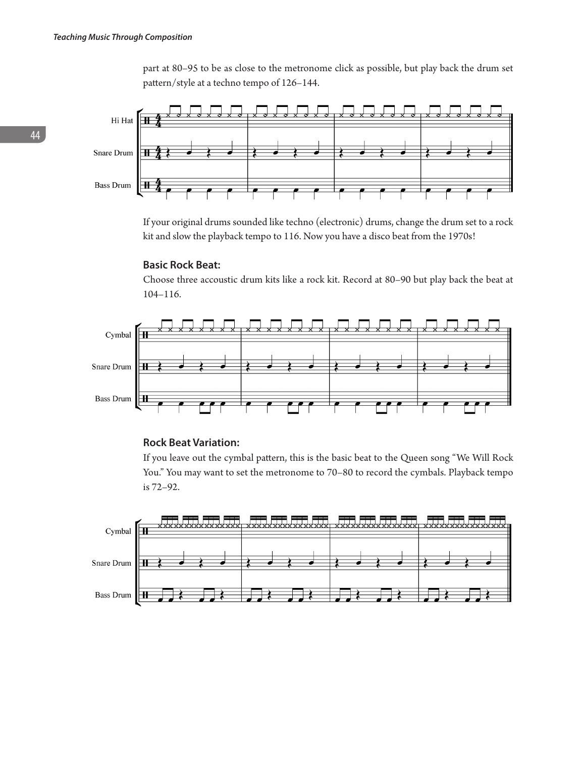part at 80–95 to be as close to the metronome click as possible, but play back the drum set pattern/style at a techno tempo of 126–144.



If your original drums sounded like techno (electronic) drums, change the drum set to a rock kit and slow the playback tempo to 116. Now you have a disco beat from the 1970s!

#### **Basic Rock Beat:**

Choose three accoustic drum kits like a rock kit. Record at 80–90 but play back the beat at 104–116.



#### **Rock Beat Variation:**

If you leave out the cymbal pattern, this is the basic beat to the Queen song "We Will Rock You." You may want to set the metronome to 70–80 to record the cymbals. Playback tempo is 72–92.